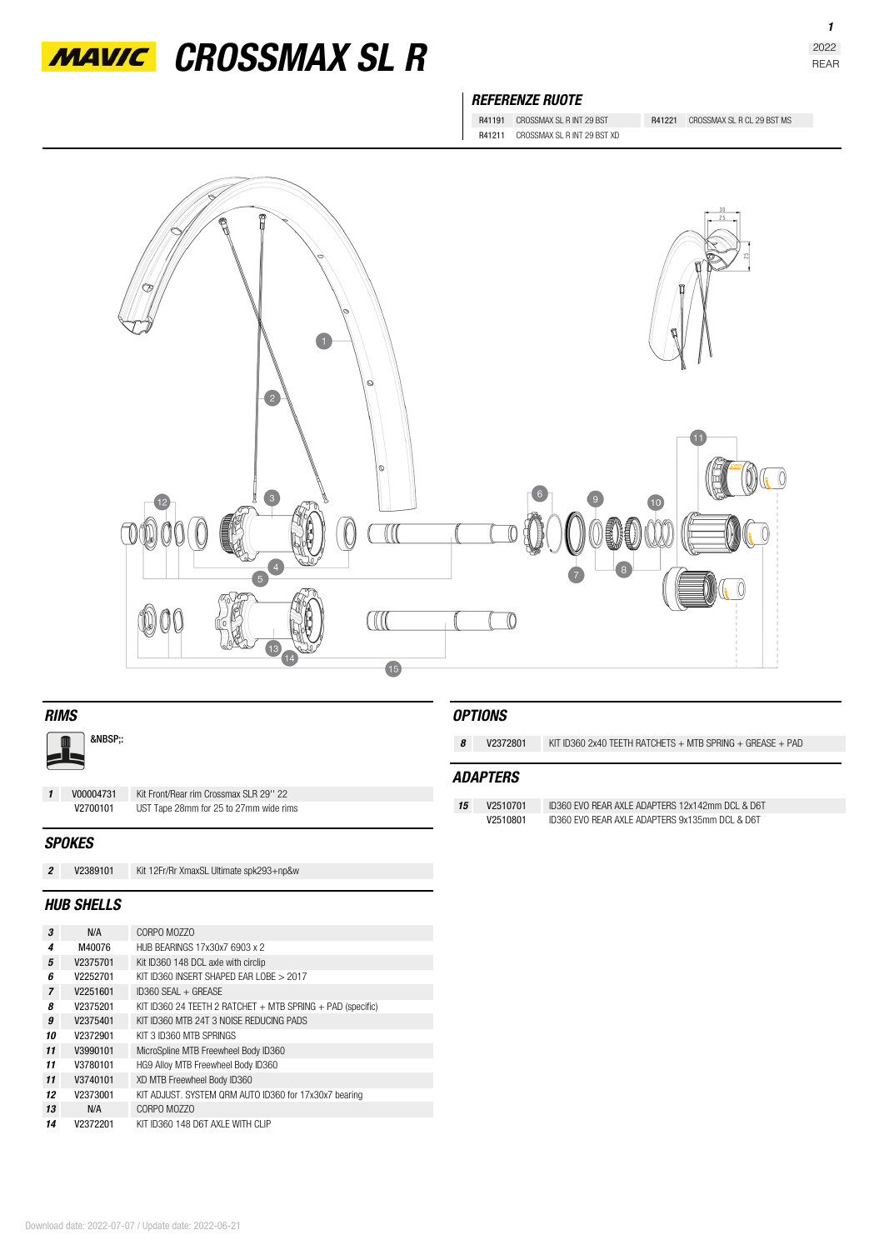

*MAVIC* CROSSMAX SL R

## *REFERENZE RUOTE*

R41211 CROSSMAX SL R INT 29 BST XD

R41191 CROSSMAX SL R INT 29 BST R41221 CROSSMAX SL R CL 29 BST MS



| <b>RIMS</b>       |           |                                         |    | <i><b>OPTIONS</b></i> |                                                                 |  |
|-------------------|-----------|-----------------------------------------|----|-----------------------|-----------------------------------------------------------------|--|
| &NBSP::           |           |                                         | 8  | V2372801              | KIT ID360 2x40 TEETH RATCHETS $+$ MTB SPRING $+$ GREASE $+$ PAD |  |
|                   |           |                                         |    | <b>ADAPTERS</b>       |                                                                 |  |
| $\mathbf{1}$      | V00004731 | Kit Front/Rear rim Crossmax SLR 29" 22  |    |                       |                                                                 |  |
|                   | V2700101  | UST Tape 28mm for 25 to 27mm wide rims  | 15 | V2510701              | ID360 EVO REAR AXLE ADAPTERS 12x142mm DCL & D6T                 |  |
|                   |           |                                         |    | V2510801              | ID360 EVO REAR AXLE ADAPTERS 9x135mm DCL & D6T                  |  |
| <b>SPOKES</b>     |           |                                         |    |                       |                                                                 |  |
| $\overline{2}$    | V2389101  | Kit 12Fr/Rr XmaxSL Ultimate spk293+np&w |    |                       |                                                                 |  |
| <b>HUB SHELLS</b> |           |                                         |    |                       |                                                                 |  |

| 3              | N/A      | CORPO MOZZO                                                    |
|----------------|----------|----------------------------------------------------------------|
| 4              | M40076   | HUB BEARINGS 17x30x7 6903 x 2                                  |
| 5              | V2375701 | Kit ID360 148 DCL axle with circlip                            |
| 6              | V2252701 | KIT ID360 INSERT SHAPED FAR LOBE > 2017                        |
| $\overline{7}$ | V2251601 | ID360 SEAL + GREASE                                            |
| 8              | V2375201 | KIT ID360 24 TEETH 2 RATCHET $+$ MTB SPRING $+$ PAD (specific) |
| 9              | V2375401 | KIT ID360 MTB 24T 3 NOISE REDUCING PADS                        |
| 10             | V2372901 | KIT 3 ID360 MTR SPRINGS                                        |
| 11             | V3990101 | MicroSpline MTB Freewheel Body ID360                           |
| 11             | V3780101 | HG9 Alloy MTB Freewheel Body ID360                             |
| 11             | V3740101 | XD MTB Freewheel Body ID360                                    |
| 12             | V2373001 | KIT ADJUST. SYSTEM QRM AUTO ID360 for 17x30x7 bearing          |
| 13             | N/A      | CORPO MO770                                                    |
| 14             | V2372201 | KIT ID360 148 D6T AXI F WITH CLIP                              |